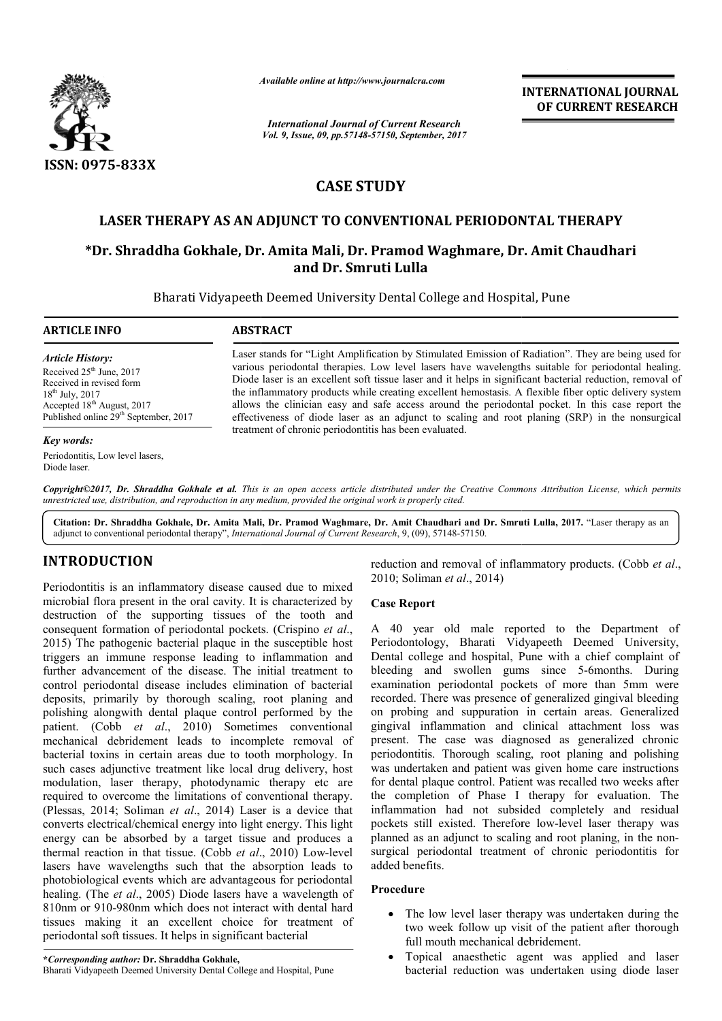

*Available online at http://www.journal http://www.journalcra.com*

*International Journal of Current Research Vol. 9, Issue, 09, pp.57148-57150, September, 2017* **INTERNATIONAL JOURNAL OF CURRENT RESEARCH** 

# **CASE STUDY**

# **LASER THERAPY AS AN ADJUNCT TO CONVENTIONAL PERIODONTAL THERAPY CONVENTIONAL PERIODONTAL**

# **\*Dr. Shraddha Gokhale, Dr. Amita Mali, Dr. Pramod Waghmare Dr. Waghmare, Dr. Amit Chaudhari and Dr. Smruti Lulla**

Bharati Vidyapeeth Deemed University Dental College and Hospital, Pune

## **ARTICLE INFO ABSTRACT**

*Article History:* Received  $25<sup>th</sup>$  June, 2017 Received in revised form 18<sup>th</sup> July, 2017 Accepted 18<sup>th</sup> August, 2017 Published online 29<sup>th</sup> September, 2017

#### *Key words:*

Periodontitis, Low level lasers, Diode laser.

Laser stands for "Light Amplification by Stimulated Emission of Radiation". They are being used for various periodontal therapies. Low level lasers have wavelengths suitable for periodontal healing. Diode laser is an excellent soft tissue laser and it helps in significant bacterial reduction, removal of the inflammatory products while creating excellent hemostasis. A flexible fiber optic delivery system the inflammatory products while creating excellent hemostasis. A flexible fiber optic delivery system allows the clinician easy and safe access around the periodontal pocket. In this case report the effectiveness of diode laser as an adjunct to scaling and root planing (SRP) in the nonsurgical treatment of chronic periodontitis has been evaluated.

Copyright©2017, Dr. Shraddha Gokhale et al. This is an open access article distributed under the Creative Commons Attribution License, which permits *unrestricted use, distribution, and reproduction in any medium, provided the original work is properly cited.*

Citation: Dr. Shraddha Gokhale, Dr. Amita Mali, Dr. Pramod Waghmare, Dr. Amit Chaudhari and Dr. Smruti Lulla, 2017. "Laser therapy as an adjunct to conventional periodontal therapy", *International Journal of Current Research* , 9, (09), 57148-57150.

# **INTRODUCTION**

Periodontitis is an inflammatory disease caused due to mixed microbial flora present in the oral cavity. It is characterized by destruction of the supporting tissues of the tooth and consequent formation of periodontal pockets. (Crispino *et al*., 2015) The pathogenic bacterial plaque in the susceptible host triggers an immune response leading to inflammation and further advancement of the disease. The initial treatment to control periodontal disease includes elimination of bacterial deposits, primarily by thorough scaling, root planing and polishing alongwith dental plaque control performed by the patient. (Cobb *et al*., 2010) Sometimes conventional mechanical debridement leads to incomplete removal of bacterial toxins in certain areas due to tooth morphology. In such cases adjunctive treatment like local drug delivery, host modulation, laser therapy, photodynamic therapy etc are required to overcome the limitations of conventional therapy. (Plessas, 2014; Soliman *et al*., 2014) Laser is a device that converts electrical/chemical energy into light energy. This light energy can be absorbed by a target tissue and produces a thermal reaction in that tissue. (Cobb *et al*., 2010) Low-level lasers have wavelengths such that the absorption leads to photobiological events which are advantageous for periodontal healing. (The *et al*., 2005) Diode lasers have a wavelength of 810nm or 910-980nm which does not interact with dental hard tissues making it an excellent choice for treatment of periodontal soft tissues. It helps in significant bacterial hs 980nm ce reduction and removal of inflammatory products.

2010; Soliman *et al*., 2014) reduction and removal of inflammatory products. (Cobb et al.,

## **Case Report**

A 40 year old male reported to the Department of Periodontology, Bharati Vidyapeeth Deemed University, Dental college and hospital, Pune with a chief complaint of bleeding and swollen gums since 5-6months. During examination periodontal pockets of more than 5mm were recorded. There was presence of generalized gingival bleeding on probing and suppuration in certain areas. Generalized gingival inflammation and clinical attachment loss was present. The case was diagnosed as generalized chronic examination periodontal pockets of more than 5mm were<br>recorded. There was presence of generalized gingival bleeding<br>on probing and suppuration in certain areas. Generalized<br>gingival inflammation and clinical attachment los was undertaken and patient was given home care instructions for dental plaque control. Patient was recalled two weeks after for dental plaque control. Patient was recalled two weeks after the completion of Phase I therapy for evaluation. The inflammation had not subsided completely and residual inflammation had not subsided completely and residual pockets still existed. Therefore low-level laser therapy was planned as an adjunct to scaling and root planing, in the nonsurgical periodontal treatment of chronic periodontitis for added benefits. 40 year old male reported to the Department of odontology, Bharati Vidyapeeth Deemed University, tal college and hospital, Pune with a chief complaint of ding and swollen gums since 5-6months. During INTERNATIONAL JOUENAL<br>
INTERNATIONAL OF CURRENT RESEARCH<br>
The *Research*<br>
or CURRENT RESEARCH<br>
or CURRENT RESEARCH<br>
or CURRENT RESEARCH<br>
or CURRENT RESEARCH<br>
or CURRENT RESEARCH<br>
or CURRENT RESEARCH<br>
or CURRENT RESEARCH<br>

## **Procedure**

- The low level laser therapy was undertaken during the two week follow up visit of the patient after thorough full mouth mechanical debridement.
- Topical anaesthetic agent was applied and laser bacterial reduction was undertaken using diode laser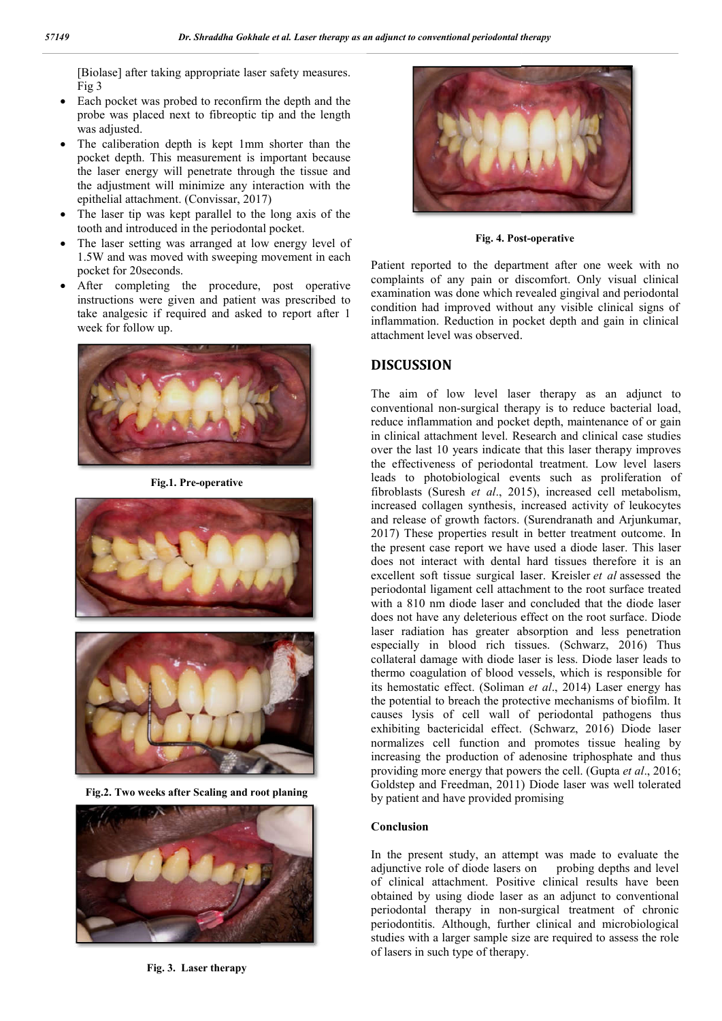[Biolase] after taking appropriate laser safety measures. Fig 3

- Each pocket was probed to reconfirm the depth and the probe was placed next to fibreoptic tip and the length was adjusted.
- The caliberation depth is kept 1mm shorter than the pocket depth. This measurement is important because the laser energy will penetrate through the tissue and the adjustment will minimize any interaction with the epithelial attachment. (Convissar, 2017)
- The laser tip was kept parallel to the long axis of the tooth and introduced in the periodontal pocket.
- The laser setting was arranged at low energy level of 1.5W and was moved with sweeping movement in each pocket for 20seconds. Externally possible track the track the track that the period<br>ontal pocket.<br>
The track track track track track track track track track track track of<br>
The same track of the separative of the depart<br>
Desconds.<br>
Patient repo
- After completing the procedure, post operative instructions were given and patient was prescribed to take analgesic if required and asked to report after 1 week for follow up.



**Fig.1. Pre-operative**





**Fig.2. Two weeks after Scaling and root planing**



**Fig. 3. Laser therapy**



**Fig. 4. Post-operative** 

Patient reported to the department after one week with no complaints of any pain or discomfort. Only visual clinical examination was done which revealed gingival and periodontal Patient reported to the department after one week with no complaints of any pain or discomfort. Only visual clinical examination was done which revealed gingival and periodontal condition had improved without any visible c inflammation. Reduction in pocket depth and gain in clinical attachment level was observed.

## **DISCUSSION**

The aim of low level laser therapy as an adjunct to conventional non-surgical therapy is to reduce bacterial load, reduce inflammation and pocket depth, maintenance of or gain in clinical attachment level. Research and clinical case studies over the last 10 years indicate that this laser therapy improves the effectiveness of periodontal treatment. Low level lasers leads to photobiological events such as proliferation of fibroblasts (Suresh *et al.*, 2015), increased cell metabolism, increased collagen synthesis, increased activity of leukocytes increased collagen synthesis, increased activity of leukocytes and release of growth factors. (Surendranath and Arjunkumar, 2017) These properties result in better treatment outcome. In the present case report we have used a diode laser. This laser the present case report we have used a diode laser. This laser does not interact with dental hard tissues therefore it is an excellent soft tissue surgical laser. Kreisler *et al* assessed the periodontal ligament cell attachment to the root surface treated with a 810 nm diode laser and concluded that the diode laser does not have any deleterious effect on the root surface. Diode laser radiation has greater absorption and less penetration especially in blood rich tissues. (Schwarz, 2016) Thus collateral damage with diode laser is less. Diode laser leads to thermo coagulation of blood vessels, which is responsible for collateral damage with diode laser is less. Diode laser leads to thermo coagulation of blood vessels, which is responsible for its hemostatic effect. (Soliman *et al.*, 2014) Laser energy has the potential to breach the protective mechanisms of biofilm. It causes lysis of cell wall of periodontal pathogens thus exhibiting bactericidal effect. (Schwarz, 2016) Diode laser normalizes cell function and promotes tissue healing by normalizes cell function and promotes tissue healing by increasing the production of adenosine triphosphate and thus providing more energy that powers the cell. (Gupta *et al.*, 2016; Goldstep and Freedman, 2011) Diode laser was well tolerated by patient and have provided promising in aim of low level laser therapy as an adjunct to<br> **CUSSION**<br>
aim of low level laser therapy as an adjunct to<br>
intional non-surgical therapy is to reduce bacterial load,<br>
be inflammation and pocket depth, maintenance of tal ligament cell attachment to the root surface tr<br>10 nm diode laser and concluded that the diode<br>have any deleterious effect on the root surface. I<br>liation has greater absorption and less penetr It to breach the protective mechanisms of biofilm. It<br>is of cell wall of periodontal pathogens thus<br>bactericidal effect. (Schwarz, 2016) Diode laser present studies of clinical periodontal theory.<br>
The studies of clinical complete and the properties of clinical complete and the properties of conventional in the convention of clicnical convention of convention in the co

#### **Conclusion**

In the present study, an attempt was made to evaluate the adjunctive role of diode lasers on probing depths and level of clinical attachment. Positive clinical results have been obtained by using diode laser as an adjunct to conventional periodontal therapy in non-surgical treatment of chronic periodontitis. Although, further clinical and microbiological studies with a larger sample size are required to assess the role of lasers in such type of therapy.